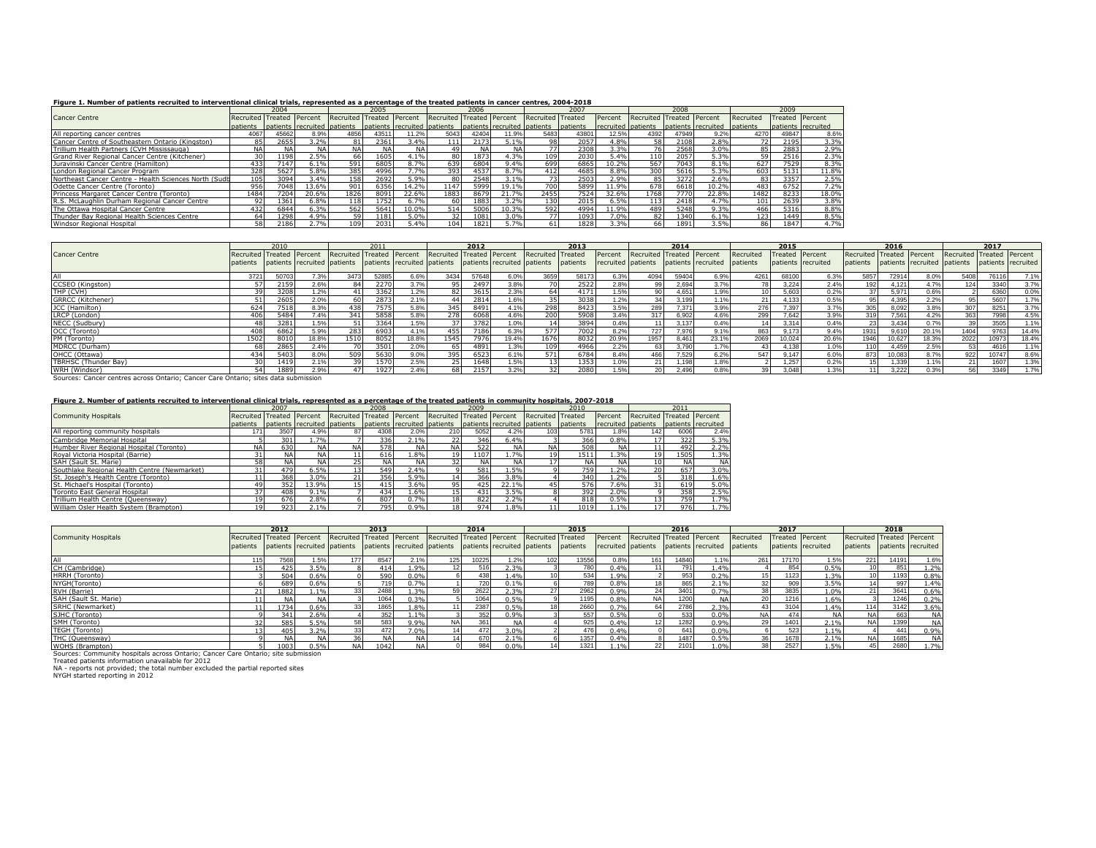## **Figure 1. Number of patients recruited to interventional clinical trials, represented as a percentage of the treated patients in cancer centres, 2004-2018**

|                                                       |                                      | 2004      |         |                                   | 2005 |                             |                           | 2006      |                              |                   | 2007             |                    |                   | 2008  |                    |                  |                        |       |
|-------------------------------------------------------|--------------------------------------|-----------|---------|-----------------------------------|------|-----------------------------|---------------------------|-----------|------------------------------|-------------------|------------------|--------------------|-------------------|-------|--------------------|------------------|------------------------|-------|
| <b>Cancer Centre</b>                                  | Recruited                            |           |         | Treated Percent Recruited Treated |      | Percent                     | Recruited Treated Percent |           |                              | Recruited Treated |                  | Percent            | Recruited Treated |       | Percent            | Recruited        | <b>Treated Percent</b> |       |
|                                                       | patients patients recruited patients |           |         |                                   |      | natients recruited natients |                           |           | patients recruited ipatients |                   | <b>Inatients</b> | recruited patients |                   |       | natients recruited | <b>Inatients</b> | patients recruited     |       |
| All reporting cancer centres                          | 4067                                 | 45662     | 8.9%    | 4856                              | 4351 | 11.2%                       | 5043                      | 42404     | 11.9%                        | 5483              | 4380             | 12.5%              | 4392              | 47949 | 9.2%               | 4270             | 49847                  | 8.6%  |
| Cancer Centre of Southeastern Ontario (Kingston)      |                                      | 2655      | 3.2%    |                                   | 2361 | 3.4%                        |                           | 2173      | 5.1%                         | 98                | 2057             | 4.8%               | 581               | 2108  | $2.8\%$            |                  | 2195                   | 3.3%  |
| Trillium Health Partners (CVH Mississauga)            | <b>NA</b>                            | <b>NA</b> | NΑ      | <b>NA</b>                         | NΑ   | NA1                         | 49                        | <b>NA</b> | NA                           | 77                | 2308             | $3.3\%$            | 76                | 2568  | $3.0\%$            |                  | 2883                   | 2.9%  |
| Grand River Regional Cancer Centre (Kitchener)        | 30                                   | 1198      | 2.5%    | 661                               | 1605 | 4.1%                        | 80                        | 1873      | 4.3%                         | 109               | 2030             | 5.4%               | 110               | 2057  | 5.3%               | 59               | 2516                   | 2.3%  |
| Juravinski Cancer Centre (Hamilton)                   | 433                                  | 7147      | 5.1%    | 591                               | 6805 | 8.7%                        | 639                       | 6804      | 9.4%                         | 699               | 6865             | 10.2%              | 567               | 7043  | 8.1%               | 627              | 7529                   | 8.3%  |
| London Regional Cancer Program                        | 328                                  | 5627      | $5.8\%$ | 385                               | 4996 |                             | 393                       | 4537      | 8.7%                         | 412               | 4685             | 8.8%               | 300               | 5616  | 5.3%               | 603              | 5131                   | 11.8% |
| Northeast Cancer Centre - Health Sciences North (Sudb | 105                                  | 3094      | 3.4%    | 158                               | 2692 | 5.9%                        | 80                        | 2548      | 3.1%                         |                   | 2503             | 2.9%               | 85                | 3272  | 2.6%               | 831              | 3357                   | 2.5%  |
| Odette Cancer Centre (Toronto)                        | 956                                  | 7048      | .3.6%   | 901                               | 6356 | 14.2%                       | 1147                      | 5999      | l9.1%                        | 700               | 5899             | 1.9%               | 678               | 6618  | 10.2%              | 483              | 6752                   | 7.2%  |
| Princess Margaret Cancer Centre (Toronto)             | 1484                                 | 7204      | 20.6%   | 1826                              | 8091 | 22.6%                       | 1883                      | 8679      | 21.7%                        | 2455              | 7524             | 32.6%              | 1768              | 7770  | 22.8%              | 1482             | 8233                   | 18.0% |
| R.S. McLaughlin Durham Regional Cancer Centre         |                                      | 361       | 5.8%    | 118                               | 1752 | 6.7%                        | 60                        | 1883      | 3.2%                         | 130               | 2015             | 6.5%               | 1131              | 2418  | 4.7%               | 101              | 2639                   | 3.8%  |
| The Ottawa Hospital Cancer Centre                     | 432                                  | 6844      | 5.3%    | 562                               | 5641 | LO.0%                       | 514                       | 5006      | 10.3%                        | 592               | 4994             | 1.9%               | 489               | 5248  | 9.3%               | 466              | 5316                   | 8.8%  |
| Thunder Bay Regional Health Sciences Centre           | 64                                   | 1298      | 4.9%    | 59                                | 1181 | 5.0%                        | 32 <sup>1</sup>           | 1081      | 3.0%                         | 771               | 1093             | 7.0%               | 82                | 1340  | 6.1%               | 123              | 1449                   | 8.5%  |
| Windsor Regional Hospital                             |                                      | 2186      | 2.7%    |                                   | 2031 | 5.4%                        | 041                       | 1821      | .7%                          |                   | 1828             | 3.3%               | 66 I              | 1891  | 3.5%               | 861              | 1847                   | 4.7%  |

|                                                                                    | 2010                      |      |       | 2011                        |       |                             | 2012                      |       |                             | 2013              |          |                    |                           | 2014  |                    | 2015      |        |                    | 2016                      |        |       | 2017                                           |       |       |
|------------------------------------------------------------------------------------|---------------------------|------|-------|-----------------------------|-------|-----------------------------|---------------------------|-------|-----------------------------|-------------------|----------|--------------------|---------------------------|-------|--------------------|-----------|--------|--------------------|---------------------------|--------|-------|------------------------------------------------|-------|-------|
| <b>Cancer Centre</b>                                                               | Recruited Treated Percent |      |       | Recruited Treated Percent   |       |                             | Recruited Treated Percent |       |                             | Recruited Treated |          | Percent            | Recruited Treated Percent |       |                    | Recruited |        | Treated Percent    | Recruited Treated Percent |        |       | Recruited Treated Percent                      |       |       |
|                                                                                    | patients                  |      |       | patients recruited patients |       | patients recruited patients |                           |       | patients recruited patients |                   | patients | recruited patients |                           |       | patients recruited | patients  |        | patients recruited | patients                  |        |       | patients recruited patients patients recruited |       |       |
|                                                                                    | 3721                      |      | 7.3%  | 3473                        | 52885 |                             | 3434                      | 57648 | 5.0%                        | 3659              | 58173    | 6.3%               | 4094                      | 59404 | 6.9%               | 426       | 68100  | 6.3%               | 5857                      | 72914  |       | 5408                                           | 76116 | 7.1%  |
| CCSEO (Kingston)                                                                   |                           |      | 2.6%  | 84                          | 2270  | 3.7%                        |                           | 2497  | 3.8%                        |                   | 2522     | 2.8%               | 99                        | 2.694 | 3.7%               |           | 3.224  | 2.4%               | 192                       | 4.121  | 4.7%  | 124                                            | 3340  | 3.7%  |
| THP (CVH)                                                                          |                           |      | 1.2%  |                             | 3362  | 1.2%                        |                           | 3615  | 2.3%                        | 64                | 4171     |                    | 90 <sup>1</sup>           | 4.651 | 1.9%               |           | 5.603  | 0.2%               | 37                        | 5.971  | 0.6%  |                                                | 6360  | 0.0%  |
| GRRCC (Kitchener)                                                                  |                           |      | 2.0%  | -601                        | 2873  | 2.1%                        |                           | 2814  | 1.6%                        |                   | 3038     | $1.2\%$            | 34                        | 3.199 | 1.1%               |           | 4.133  | 0.5%               | 95                        | 4,395  | 2.2%  |                                                | 5607  | 1.7%  |
| JCC (Hamilton)                                                                     | 624                       | 7518 | 8.3%  | 438                         | 7575  |                             | 345                       | 8491  |                             | 298               | 8423     | 3.5%               | 289                       | 7.371 | 3.9%               | 276       | 7.397  | 3.7%               | 305                       | 8.092  | 3.8%  | 307                                            | 8251  | 3.7%  |
| LRCP (London)                                                                      | 406                       | 5484 | 7.4%  | 341                         | 5858  | 5.8%                        | 278                       | 6068  | 4.6%                        | 200               | 5908     | 3.4%               | 317                       | 6.902 | 4.6%               | 299       | 7.642  | 3.9%               | 319                       | 7.561  | 4.2%  | 363                                            | 7998  | 4.5%  |
| NECC (Sudbury)                                                                     | 48                        | 3281 | 1.5%  |                             | 3364  | 1.5%                        |                           | 3782  | 1.0%                        |                   | 3894     | 0.4%               |                           | 3.137 | 0.4%               |           | 3.314  | 0.4%               | 23                        | 3,434  | 0.7%  |                                                | 3505  | 1.1%  |
| OCC (Toronto)                                                                      | 408                       | 6862 | 5.9%  | 2831                        | 6903  | 4.1%                        | 455                       | 7186  | 6.3%                        | 577               | 7002     | 8.2%               | 727                       | 7.976 | 9.1%               | 863       | 9.173  | 9.4%               | 1931                      | 9.610  | 20.1% | 1404                                           | 9763  | 14.4% |
| PM (Toronto)                                                                       | 1502                      | 8010 | 18.8% | 1510                        | 8052  | 18.8%                       | 1545                      | 7976  | 19.4%                       | 1676              | 8032     | 20.9%              | 1957                      | 8.461 | 23.1%              | 2069      | 10.024 | 20.6%              | 1946                      | 10.627 | 18.3% | 2022                                           | 10973 | 18.4% |
| MDRCC (Durham)                                                                     | 68                        | 2865 | 2.4%  |                             | 3501  | 2.0%                        |                           | 4891  | 1.3%                        | 109               | 4966     | 2.2%               |                           | 3.790 | 1.7%               |           | 4.138  | 1.0%               | 110                       | 4,459  | 2.5%  |                                                | 4616  | 1.1%  |
| OHCC (Ottawa)                                                                      | 434                       | 5403 | 8.0%  | 509                         | 5630  | 9.0%                        | 395                       | 6523  | 6.1%                        | 571               | 6784     | 8.4%               | 466                       | 7.529 | 6.2%               | 547       | 9.147  | 6.0%               | 873                       | 10.083 | 8.7%  | 922                                            | 10747 | 8.6%  |
| TBRHSC (Thunder Bay)                                                               |                           | 141' | 2.1%  | 391                         | 1570  | 2.5%                        |                           | 1648  | 1.5%                        |                   | 1353     |                    |                           | 1.198 | 1.8%               |           | 1.257  | 0.2%               | 15                        | 1.339  | 1.10L |                                                | 1607  | 1.3%  |
| WRH (Windsor)                                                                      |                           | 1889 | 2.9%  | 471                         | 1927  | 2.4%                        | 68                        | 2157  | 3.2%                        |                   | 2080     | .5%                | 20                        | 2.496 | 0.8%               |           | 3.048  | 1.3%               |                           | 3.222  | 0.3%  | 56                                             | 3349  | 1.7%  |
| Sources: Cancer centres across Ontario: Cancer Care Ontario: sites data submission |                           |      |       |                             |       |                             |                           |       |                             |                   |          |                    |                           |       |                    |           |        |                    |                           |        |       |                                                |       |       |

## **Figure 2. Number of patients recruited to interventional clinical trials, represented as a percentage of the treated patients in community hospitals, 2007-2018**

|                                              |                                      | 2007       |           |                           | 2008      |           |                           | 2009      |           |                                                                  | 2010 |                    |                           |           |                    |
|----------------------------------------------|--------------------------------------|------------|-----------|---------------------------|-----------|-----------|---------------------------|-----------|-----------|------------------------------------------------------------------|------|--------------------|---------------------------|-----------|--------------------|
| <b>Community Hospitals</b>                   | Recruited Treated Percent            |            |           | Recruited Treated Percent |           |           | Recruited Treated Percent |           |           | Recruited Treated                                                |      | Percent            | Recruited Treated Percent |           |                    |
|                                              | patients patients recruited patients |            |           |                           |           |           |                           |           |           | patients recruited patients patients recruited patients patients |      | recruited patients |                           |           | patients recruited |
| All reporting community hospitals            |                                      | 3507       | 4.9%      |                           | 4308      | 2.0%      | 210                       | 5052      | 4.2%      | 103                                                              | 578  | 1.8%               | 142                       | 6006      | 2.4%               |
| Cambridge Memorial Hospital                  |                                      | 301        | 1.7%      |                           | 336       | 2.1%      | 22                        | 346       | 6.4%      |                                                                  | 366  | 0.8%               |                           | 322       | 5.3%               |
| Humber River Regional Hospital (Toronto)     | <b>NA</b>                            | 630        | <b>NA</b> | <b>NA</b>                 | 578       | <b>NA</b> | <b>NA</b>                 | 522       | <b>NA</b> | NA                                                               | 508  | <b>NA</b>          |                           | 492       | 2.2%               |
| Royal Victoria Hospital (Barrie)             |                                      | <b>NAI</b> | <b>NA</b> |                           | 616       | $.8\%$    | 19                        | 1107      | .7%       | 19                                                               | 151  | .3%                | 19                        | 1505      | 1.3%               |
| SAH (Sault St. Marie)                        | 58.                                  | <b>NAI</b> | <b>NA</b> |                           | <b>NA</b> | <b>NA</b> | 32                        | <b>NA</b> | <b>NA</b> |                                                                  |      | <b>NA</b>          |                           | <b>NA</b> | <b>NA</b>          |
| Southlake Regional Health Centre (Newmarket) |                                      | 479        | 6.5%      | 13 <sup>1</sup>           | 549       | 2.4%      |                           | 581       | L.5%      |                                                                  | 7591 | $.2\%$             | 20 <sub>1</sub>           | 657       | 3.0%               |
| St. Joseph's Health Centre (Toronto)         |                                      | 368        | 3.0%      |                           | 356       | 5.9%      | 14                        | 366       | 3.8%      |                                                                  | 340  | .2%                |                           | 318       | 1.6%               |
| St. Michael's Hospital (Toronto)             | 49                                   | 352        | 13.9%     |                           | 415       | 3.6%      | 95                        | 425       | 22.1%     |                                                                  | 576  | 7.6%               |                           | 619       | 5.0%               |
| Toronto East General Hospital                |                                      | 408        | 9.1%      |                           | 434       | .6%       | 15                        | 431       | 3.5%      |                                                                  | 392  | 2.0%               |                           | 358       | 2.5%               |
| Trillium Health Centre (Oueensway)           | 19                                   | 676        | 2.8%      |                           | 807       | 0.7%      | 18                        | 822       | 2.2%      |                                                                  | 818  | 0.5%               |                           | 759       | 1.7%               |
| William Osler Health System (Brampton)       | 19                                   | 923        | 2.1%      |                           | 7951      | 0.9%      | 18                        | 974       | $1.8\%$   |                                                                  | 1019 | $1.1\%$            |                           | 976       | 1.7%               |

|                                                                                   | 2012                      |      |                             | 2013                      |            |                             | 2014                      |       |                             | 2015              |          |                    | 2016                      |       |                    | 2017      |                 |                    |                           |       |                    |
|-----------------------------------------------------------------------------------|---------------------------|------|-----------------------------|---------------------------|------------|-----------------------------|---------------------------|-------|-----------------------------|-------------------|----------|--------------------|---------------------------|-------|--------------------|-----------|-----------------|--------------------|---------------------------|-------|--------------------|
| <b>Community Hospitals</b>                                                        | Recruited Treated Percent |      |                             | Recruited Treated Percent |            |                             | Recruited Treated Percent |       |                             | Recruited Treated |          | Percent            | Recruited Treated Percent |       |                    | Recruited | Treated Percent |                    | Recruited Treated Percent |       |                    |
|                                                                                   | patients                  |      | patients recruited patients |                           |            | patients recruited patients |                           |       | patients recruited patients |                   | patients | recruited patients |                           |       | patients recruited | patients  |                 | patients recruited | patients                  |       | patients recruited |
|                                                                                   | 115                       | 7568 | 1.5%                        | 177                       | 8547       | 2.1%                        | 125                       | 10225 | 1.2%                        | 102               | 13556    | 0.8%               | 161                       | 14840 | 1.1%               | 261       | 17170           | 1.5%               | 221                       | 14191 | 1.6%               |
| CH (Cambridge)                                                                    |                           |      | 3.5%                        |                           | 414        | 1.9%                        |                           | 516   | 2.3%                        |                   | 780      | 0.4%               |                           | 791   | 1.4%               |           | 854             | 0.5%               |                           | 851   | 1.2%               |
| HRRH (Toronto)                                                                    |                           | 504  | 0.6%                        |                           | 590        | 0.0%                        |                           | 438   | 1.4%                        |                   | 534      | 1.9%               |                           | 953   | 0.2%               |           | 1123            | 1.3%               |                           | 1193  | 0.8%               |
| NYGH (Toronto)                                                                    |                           | 689  | 0.6%                        |                           | 719        | 0.7%                        |                           | 720   | 0.1%                        |                   | 789      | 0.8%               | 18                        | 865   | 2.1%               | 32        | 909             | 3.5%               |                           | 997   | 1.4%               |
| RVH (Barrie)                                                                      |                           | 1882 | .1%                         | 33                        | 2488       | .3%                         |                           | 2622  | 2.3%                        | 27                | 2962     | 0.9%               | 24                        | 3401  | 0.7%               |           | 3835            | $1.0\%$            | 21                        | 3641  | 0.6%               |
| SAH (Sault St. Marie)                                                             |                           | NA   | <b>NA</b>                   |                           | 1064       | 0.3%                        |                           | 1064  | 0.5%                        |                   | 1195     | 0.8%               | <b>NA</b>                 | 1200  | <b>NA</b>          | 20        | 1216            | 1.6%               |                           | 1246  | 0.2%               |
| SRHC (Newmarket)                                                                  |                           | 1734 | 0.6%                        | 33                        | 1865       | 1.8%                        |                           | 2387  | 0.5%                        |                   | 2660     | 7.7%               | 64                        | 2786  | 2.3%               | 43        | 3104            | 1.4%               | 114                       | 3142  | 3.6%               |
| SJHC (Toronto)                                                                    |                           | 341  | 2.6%                        |                           | 352        | 1.1%                        |                           | 352   | 0.9%                        |                   | 557      | 0.5%               |                           | 533   | 0.0%               | <b>NA</b> | 474             | <b>NA</b>          | <b>NA</b>                 | 663   | <b>NA</b>          |
| SMH (Toronto)                                                                     |                           | 585  | 5.5%                        | 58                        | 583        | 9.9%                        |                           | 361   | <b>NA</b>                   |                   | 925      | 0.49               | 12                        | 1282  | 0.9%               | 29        | 1401            | 2.1%               | <b>NA</b>                 | 1399  | <b>NA</b>          |
| TEGH (Toronto)                                                                    |                           | 405  | 3.2%                        | 33                        | 472        | 7.0%                        |                           | 472   | 3.0%                        |                   | 476      | 0.4%               |                           | 641   | 0.0%               |           | 523             | 1.1%               |                           | 441   | 0.9%               |
| THC (Queensway)                                                                   |                           | NA.  | NΔ                          | 36                        | <b>NAI</b> |                             |                           | 670   | 2.1%                        |                   | 1357     | 0.4%               |                           | 1487  | 0.5%               |           | 1678            | 7.1%               | <b>NA</b>                 | 685   | <b>NA</b>          |
| WOHS (Brampton)                                                                   |                           | 1003 | 0.5%                        | NΔ                        | 1042       |                             |                           | 984   | 0.0%                        | 14                | 1321     | 10/                | 22                        | 2101  | 0%                 |           | 2527            | .5%                | 45                        | 2680  | 1.7%               |
| Sources: Community hospitals across Ontario; Cancer Care Ontario; site submission |                           |      |                             |                           |            |                             |                           |       |                             |                   |          |                    |                           |       |                    |           |                 |                    |                           |       |                    |
| Treated patients information unavailable for 2012                                 |                           |      |                             |                           |            |                             |                           |       |                             |                   |          |                    |                           |       |                    |           |                 |                    |                           |       |                    |
| NA - reports not provided; the total number excluded the partial reported sites   |                           |      |                             |                           |            |                             |                           |       |                             |                   |          |                    |                           |       |                    |           |                 |                    |                           |       |                    |
| NYGH started reporting in 2012                                                    |                           |      |                             |                           |            |                             |                           |       |                             |                   |          |                    |                           |       |                    |           |                 |                    |                           |       |                    |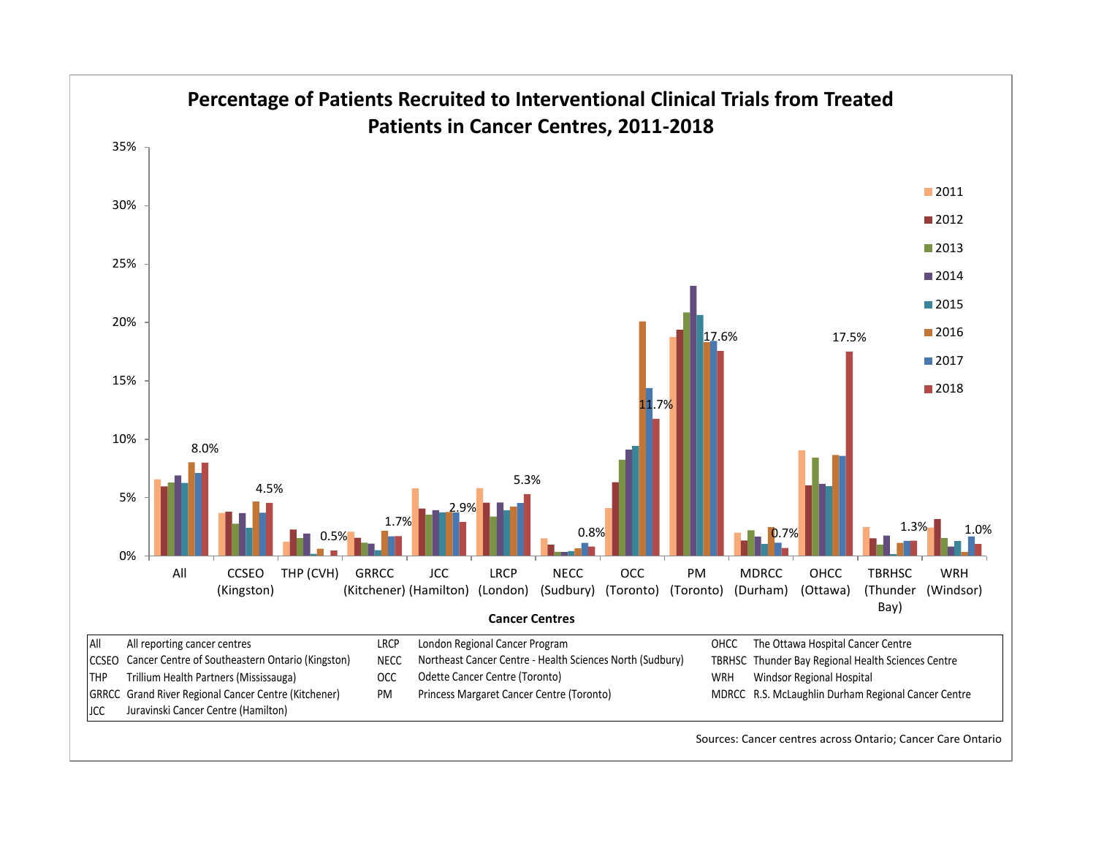